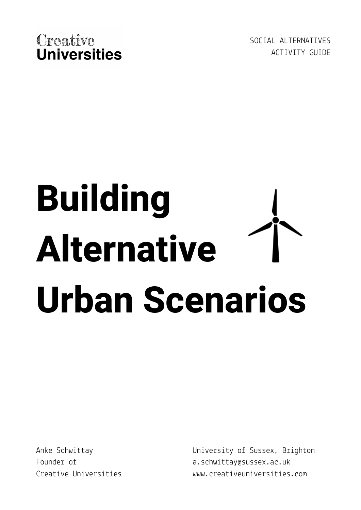

SOCIAL ALTERNATIVES ACTIVITY GUIDE

# **Building Alternative Urban Scenarios**

Anke Schwittay Founder of Creative Universities University of Sussex, Brighton a.schwittay@sussex.ac.uk www.creativeuniversities.com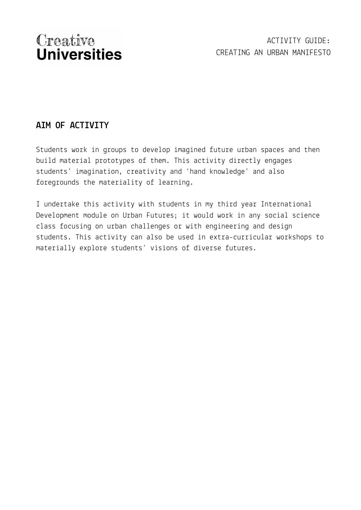## **AIM OF ACTIVITY**

Students work in groups to develop imagined future urban spaces and then build material prototypes of them. This activity directly engages students' imagination, creativity and 'hand knowledge' and also foregrounds the materiality of learning.

I undertake this activity with students in my third year International Development module on Urban Futures; it would work in any social science class focusing on urban challenges or with engineering and design students. This activity can also be used in extra-curricular workshops to materially explore students' visions of diverse futures.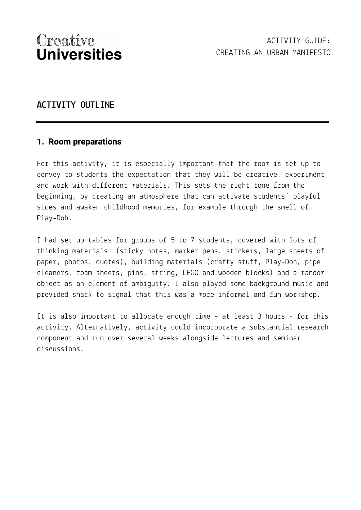### **ACTIVITY OUTLINE**

#### **1. Room preparations**

For this activity, it is especially important that the room is set up to convey to students the expectation that they will be creative, experiment and work with different materials. This sets the right tone from the beginning, by creating an atmosphere that can activate students' playful sides and awaken childhood memories, for example through the smell of Play-Doh.

I had set up tables for groups of 5 to 7 students, covered with lots of thinking materials (sticky notes, marker pens, stickers, large sheets of paper, photos, quotes), building materials (crafty stuff, Play-Doh, pipe cleaners, foam sheets, pins, string, LEGO and wooden blocks) and a random object as an element of ambiguity. I also played some background music and provided snack to signal that this was a more informal and fun workshop.

It is also important to allocate enough time – at least 3 hours - for this activity. Alternatively, activity could incorporate a substantial research component and run over several weeks alongside lectures and seminar discussions.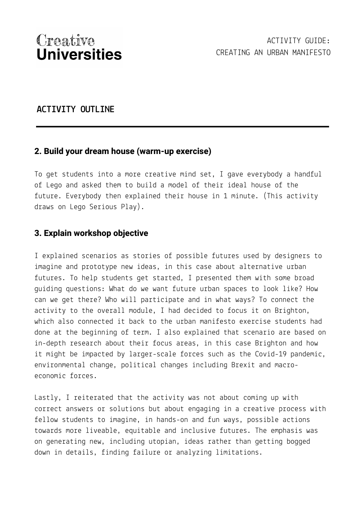## **ACTIVITY OUTLINE**

#### **2. Build your dream house (warm-up exercise)**

To get students into a more creative mind set, I gave everybody a handful of Lego and asked them to build a model of their ideal house of the future. Everybody then explained their house in 1 minute. (This activity draws on Lego Serious Play).

#### **3. Explain workshop objective**

I explained scenarios as stories of possible futures used by designers to imagine and prototype new ideas, in this case about alternative urban futures. To help students get started, I presented them with some broad guiding questions: What do we want future urban spaces to look like? How can we get there? Who will participate and in what ways? To connect the activity to the overall module, I had decided to focus it on Brighton, which also connected it back to the urban manifesto exercise students had done at the beginning of term. I also explained that scenario are based on in-depth research about their focus areas, in this case Brighton and how it might be impacted by larger-scale forces such as the Covid-19 pandemic, environmental change, political changes including Brexit and macroeconomic forces.

Lastly, I reiterated that the activity was not about coming up with correct answers or solutions but about engaging in a creative process with fellow students to imagine, in hands-on and fun ways, possible actions towards more liveable, equitable and inclusive futures. The emphasis was on generating new, including utopian, ideas rather than getting bogged down in details, finding failure or analyzing limitations.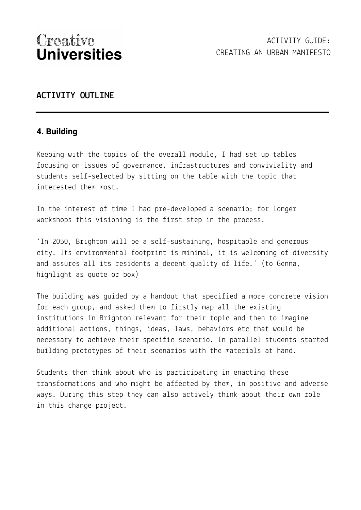### **ACTIVITY OUTLINE**

### **4. Building**

Keeping with the topics of the overall module, I had set up tables focusing on issues of governance, infrastructures and conviviality and students self-selected by sitting on the table with the topic that interested them most.

In the interest of time I had pre-developed a scenario; for longer workshops this visioning is the first step in the process.

'In 2050, Brighton will be a self-sustaining, hospitable and generous city. Its environmental footprint is minimal, it is welcoming of diversity and assures all its residents a decent quality of life.' (to Genna, highlight as quote or box)

The building was guided by a handout that specified a more concrete vision for each group, and asked them to firstly map all the existing institutions in Brighton relevant for their topic and then to imagine additional actions, things, ideas, laws, behaviors etc that would be necessary to achieve their specific scenario. In parallel students started building prototypes of their scenarios with the materials at hand.

Students then think about who is participating in enacting these transformations and who might be affected by them, in positive and adverse ways. During this step they can also actively think about their own role in this change project.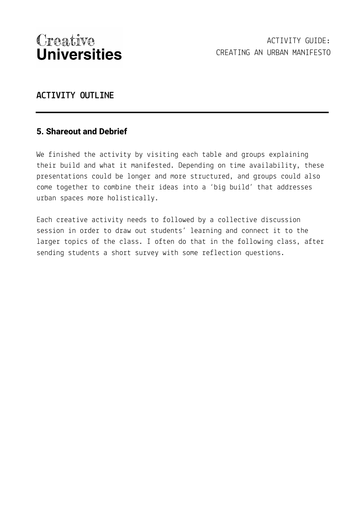## **ACTIVITY OUTLINE**

#### **5. Shareout and Debrief**

We finished the activity by visiting each table and groups explaining their build and what it manifested. Depending on time availability, these presentations could be longer and more structured, and groups could also come together to combine their ideas into a 'big build' that addresses urban spaces more holistically.

Each creative activity needs to followed by a collective discussion session in order to draw out students' learning and connect it to the larger topics of the class. I often do that in the following class, after sending students a short survey with some reflection questions.